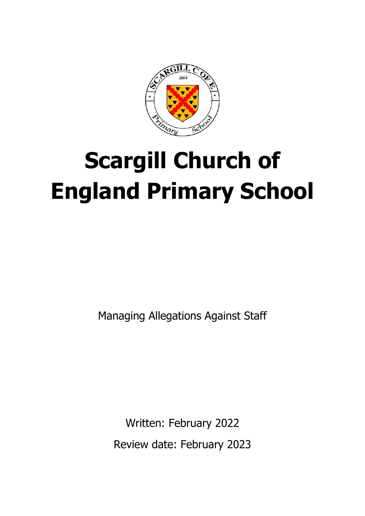

# **Scargill Church of England Primary School**

Managing Allegations Against Staff

Written: February 2022 Review date: February 2023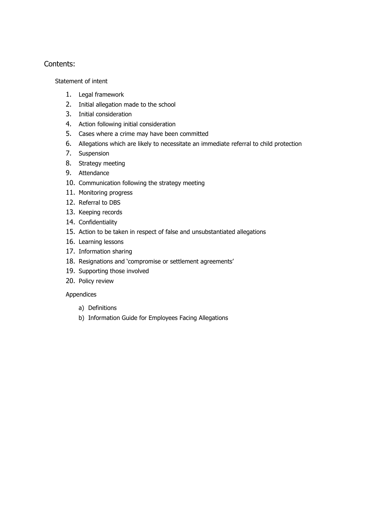#### Contents:

[Statement of intent](#page-2-0)

- 1. [Legal framework](#page-3-0)
- 2. [Initial allegation made to the school](#page-3-1)
- 3. [Initial consideration](#page-4-0)
- 4. [Action following initial consideration](#page-4-1)
- 5. [Cases where a crime may have been committed](#page-5-0)
- 6. [Allegations which are likely to necessitate an immediate referral to child protection](#page-6-0)
- 7. [Suspension](#page-6-1)
- 8. [Strategy meeting](#page-8-0)
- 9. [Attendance](#page-9-0)
- 10. [Communication following the strategy meeting](#page-9-1)
- 11. [Monitoring progress](#page-9-2)
- 12. [Referral to DBS](#page-10-0)
- 13. [Keeping records](#page-10-1)
- 14. [Confidentiality](#page-11-0)
- 15. [Action to be taken in respect of false and unsubstantiated allegations](#page-11-1)
- 16. [Learning lessons](#page-12-0)
- 17. [Information sharing](#page-12-1)
- 18. [Resignations and 'compromise or settlement agreements'](#page-13-0)
- 19. [Supporting those involved](#page-13-1)
- 20. [Policy review](#page-15-0)

#### Appendices

- a) [Definitions](#page-15-1)
- b) [Information Guide for Employees Facing Allegations](#page-17-0)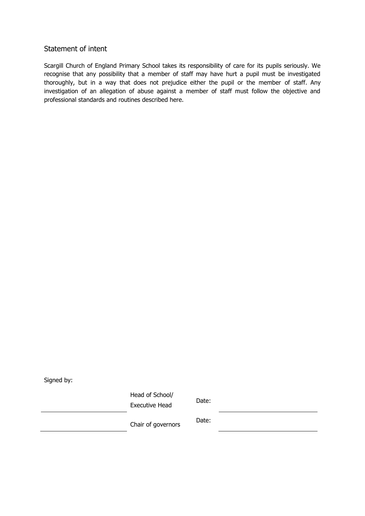#### <span id="page-2-0"></span>Statement of intent

Scargill Church of England Primary School takes its responsibility of care for its pupils seriously. We recognise that any possibility that a member of staff may have hurt a pupil must be investigated thoroughly, but in a way that does not prejudice either the pupil or the member of staff. Any investigation of an allegation of abuse against a member of staff must follow the objective and professional standards and routines described here.

Signed by:

Head of School/ Executive Head Date:

Chair of governors Date: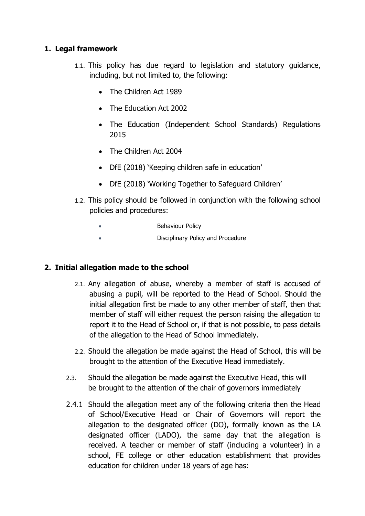# <span id="page-3-0"></span>**1. Legal framework**

- 1.1. This policy has due regard to legislation and statutory guidance, including, but not limited to, the following:
	- The Children Act 1989
	- The Education Act 2002
	- The Education (Independent School Standards) Regulations 2015
	- The Children Act 2004
	- DfE (2018) 'Keeping children safe in education'
	- DfE (2018) 'Working Together to Safeguard Children'
- 1.2. This policy should be followed in conjunction with the following school policies and procedures:
	- **Behaviour Policy**
	- Disciplinary Policy and Procedure

## <span id="page-3-1"></span>**2. Initial allegation made to the school**

- 2.1. Any allegation of abuse, whereby a member of staff is accused of abusing a pupil, will be reported to the Head of School. Should the initial allegation first be made to any other member of staff, then that member of staff will either request the person raising the allegation to report it to the Head of School or, if that is not possible, to pass details of the allegation to the Head of School immediately.
- 2.2. Should the allegation be made against the Head of School, this will be brought to the attention of the Executive Head immediately.
- 2.3. Should the allegation be made against the Executive Head, this will be brought to the attention of the chair of governors immediately
- 2.4.1 Should the allegation meet any of the following criteria then the Head of School/Executive Head or Chair of Governors will report the allegation to the designated officer (DO), formally known as the LA designated officer (LADO), the same day that the allegation is received. A teacher or member of staff (including a volunteer) in a school, FE college or other education establishment that provides education for children under 18 years of age has: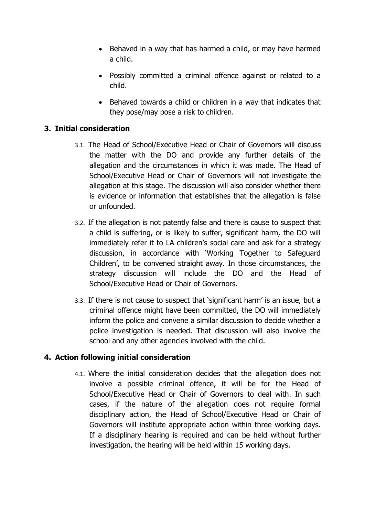- Behaved in a way that has harmed a child, or may have harmed a child.
- Possibly committed a criminal offence against or related to a child.
- Behaved towards a child or children in a way that indicates that they pose/may pose a risk to children.

# <span id="page-4-0"></span>**3. Initial consideration**

- 3.1. The Head of School/Executive Head or Chair of Governors will discuss the matter with the DO and provide any further details of the allegation and the circumstances in which it was made. The Head of School/Executive Head or Chair of Governors will not investigate the allegation at this stage. The discussion will also consider whether there is evidence or information that establishes that the allegation is false or unfounded.
- 3.2. If the allegation is not patently false and there is cause to suspect that a child is suffering, or is likely to suffer, significant harm, the DO will immediately refer it to LA children's social care and ask for a strategy discussion, in accordance with 'Working Together to Safeguard Children', to be convened straight away. In those circumstances, the strategy discussion will include the DO and the Head of School/Executive Head or Chair of Governors.
- 3.3. If there is not cause to suspect that 'significant harm' is an issue, but a criminal offence might have been committed, the DO will immediately inform the police and convene a similar discussion to decide whether a police investigation is needed. That discussion will also involve the school and any other agencies involved with the child.

## <span id="page-4-1"></span>**4. Action following initial consideration**

4.1. Where the initial consideration decides that the allegation does not involve a possible criminal offence, it will be for the Head of School/Executive Head or Chair of Governors to deal with. In such cases, if the nature of the allegation does not require formal disciplinary action, the Head of School/Executive Head or Chair of Governors will institute appropriate action within three working days. If a disciplinary hearing is required and can be held without further investigation, the hearing will be held within 15 working days.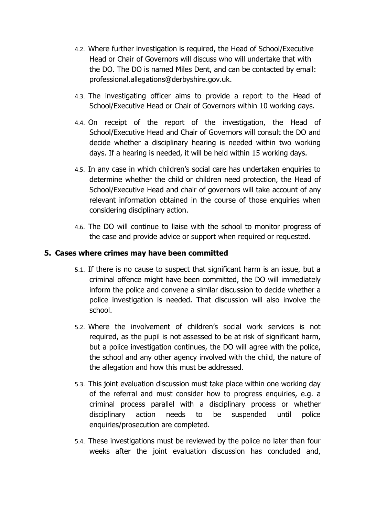- 4.2. Where further investigation is required, the Head of School/Executive Head or Chair of Governors will discuss who will undertake that with the DO. The DO is named Miles Dent, and can be contacted by email: professional.allegations@derbyshire.gov.uk.
- 4.3. The investigating officer aims to provide a report to the Head of School/Executive Head or Chair of Governors within 10 working days.
- 4.4. On receipt of the report of the investigation, the Head of School/Executive Head and Chair of Governors will consult the DO and decide whether a disciplinary hearing is needed within two working days. If a hearing is needed, it will be held within 15 working days.
- 4.5. In any case in which children's social care has undertaken enquiries to determine whether the child or children need protection, the Head of School/Executive Head and chair of governors will take account of any relevant information obtained in the course of those enquiries when considering disciplinary action.
- 4.6. The DO will continue to liaise with the school to monitor progress of the case and provide advice or support when required or requested.

## <span id="page-5-0"></span>**5. Cases where crimes may have been committed**

- 5.1. If there is no cause to suspect that significant harm is an issue, but a criminal offence might have been committed, the DO will immediately inform the police and convene a similar discussion to decide whether a police investigation is needed. That discussion will also involve the school.
- 5.2. Where the involvement of children's social work services is not required, as the pupil is not assessed to be at risk of significant harm, but a police investigation continues, the DO will agree with the police, the school and any other agency involved with the child, the nature of the allegation and how this must be addressed.
- 5.3. This joint evaluation discussion must take place within one working day of the referral and must consider how to progress enquiries, e.g. a criminal process parallel with a disciplinary process or whether disciplinary action needs to be suspended until police enquiries/prosecution are completed.
- 5.4. These investigations must be reviewed by the police no later than four weeks after the joint evaluation discussion has concluded and,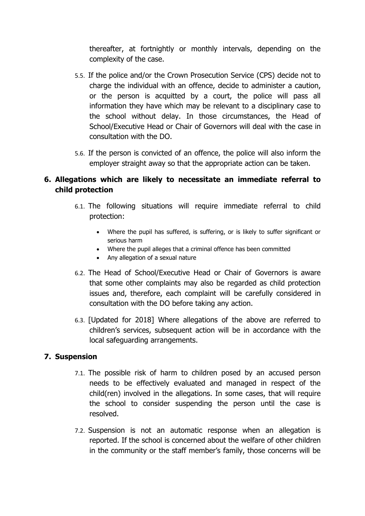thereafter, at fortnightly or monthly intervals, depending on the complexity of the case.

- 5.5. If the police and/or the Crown Prosecution Service (CPS) decide not to charge the individual with an offence, decide to administer a caution, or the person is acquitted by a court, the police will pass all information they have which may be relevant to a disciplinary case to the school without delay. In those circumstances, the Head of School/Executive Head or Chair of Governors will deal with the case in consultation with the DO.
- 5.6. If the person is convicted of an offence, the police will also inform the employer straight away so that the appropriate action can be taken.

# <span id="page-6-0"></span>**6. Allegations which are likely to necessitate an immediate referral to child protection**

- 6.1. The following situations will require immediate referral to child protection:
	- Where the pupil has suffered, is suffering, or is likely to suffer significant or serious harm
	- Where the pupil alleges that a criminal offence has been committed
	- Any allegation of a sexual nature
- 6.2. The Head of School/Executive Head or Chair of Governors is aware that some other complaints may also be regarded as child protection issues and, therefore, each complaint will be carefully considered in consultation with the DO before taking any action.
- 6.3. [Updated for 2018] Where allegations of the above are referred to children's services, subsequent action will be in accordance with the local safeguarding arrangements.

## <span id="page-6-1"></span>**7. Suspension**

- 7.1. The possible risk of harm to children posed by an accused person needs to be effectively evaluated and managed in respect of the child(ren) involved in the allegations. In some cases, that will require the school to consider suspending the person until the case is resolved.
- 7.2. Suspension is not an automatic response when an allegation is reported. If the school is concerned about the welfare of other children in the community or the staff member's family, those concerns will be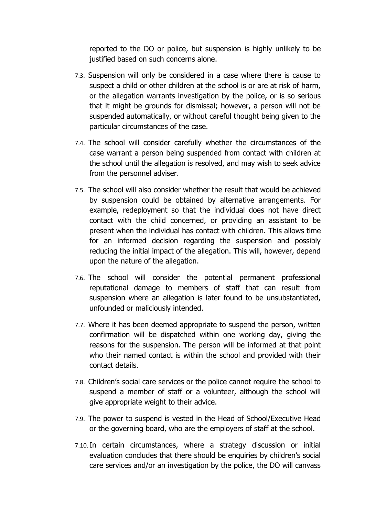reported to the DO or police, but suspension is highly unlikely to be justified based on such concerns alone.

- 7.3. Suspension will only be considered in a case where there is cause to suspect a child or other children at the school is or are at risk of harm, or the allegation warrants investigation by the police, or is so serious that it might be grounds for dismissal; however, a person will not be suspended automatically, or without careful thought being given to the particular circumstances of the case.
- 7.4. The school will consider carefully whether the circumstances of the case warrant a person being suspended from contact with children at the school until the allegation is resolved, and may wish to seek advice from the personnel adviser.
- 7.5. The school will also consider whether the result that would be achieved by suspension could be obtained by alternative arrangements. For example, redeployment so that the individual does not have direct contact with the child concerned, or providing an assistant to be present when the individual has contact with children. This allows time for an informed decision regarding the suspension and possibly reducing the initial impact of the allegation. This will, however, depend upon the nature of the allegation.
- 7.6. The school will consider the potential permanent professional reputational damage to members of staff that can result from suspension where an allegation is later found to be unsubstantiated, unfounded or maliciously intended.
- 7.7. Where it has been deemed appropriate to suspend the person, written confirmation will be dispatched within one working day, giving the reasons for the suspension. The person will be informed at that point who their named contact is within the school and provided with their contact details.
- 7.8. Children's social care services or the police cannot require the school to suspend a member of staff or a volunteer, although the school will give appropriate weight to their advice.
- 7.9. The power to suspend is vested in the Head of School/Executive Head or the governing board, who are the employers of staff at the school.
- 7.10.In certain circumstances, where a strategy discussion or initial evaluation concludes that there should be enquiries by children's social care services and/or an investigation by the police, the DO will canvass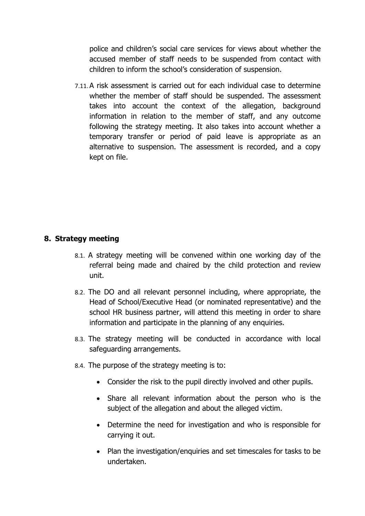police and children's social care services for views about whether the accused member of staff needs to be suspended from contact with children to inform the school's consideration of suspension.

7.11.A risk assessment is carried out for each individual case to determine whether the member of staff should be suspended. The assessment takes into account the context of the allegation, background information in relation to the member of staff, and any outcome following the strategy meeting. It also takes into account whether a temporary transfer or period of paid leave is appropriate as an alternative to suspension. The assessment is recorded, and a copy kept on file.

## <span id="page-8-0"></span>**8. Strategy meeting**

- 8.1. A strategy meeting will be convened within one working day of the referral being made and chaired by the child protection and review unit.
- 8.2. The DO and all relevant personnel including, where appropriate, the Head of School/Executive Head (or nominated representative) and the school HR business partner, will attend this meeting in order to share information and participate in the planning of any enquiries.
- 8.3. The strategy meeting will be conducted in accordance with local safeguarding arrangements.
- 8.4. The purpose of the strategy meeting is to:
	- Consider the risk to the pupil directly involved and other pupils.
	- Share all relevant information about the person who is the subject of the allegation and about the alleged victim.
	- Determine the need for investigation and who is responsible for carrying it out.
	- Plan the investigation/enquiries and set timescales for tasks to be undertaken.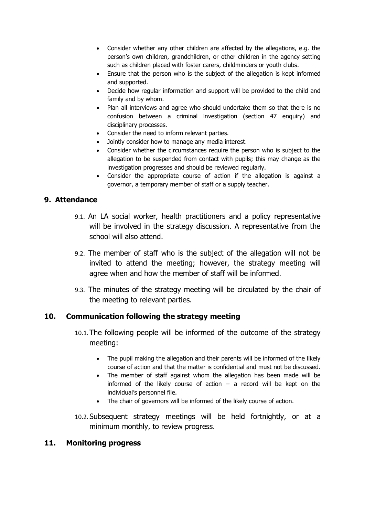- Consider whether any other children are affected by the allegations, e.g. the person's own children, grandchildren, or other children in the agency setting such as children placed with foster carers, childminders or youth clubs.
- Ensure that the person who is the subject of the allegation is kept informed and supported.
- Decide how regular information and support will be provided to the child and family and by whom.
- Plan all interviews and agree who should undertake them so that there is no confusion between a criminal investigation (section 47 enquiry) and disciplinary processes.
- Consider the need to inform relevant parties.
- Jointly consider how to manage any media interest.
- Consider whether the circumstances require the person who is subject to the allegation to be suspended from contact with pupils; this may change as the investigation progresses and should be reviewed regularly.
- Consider the appropriate course of action if the allegation is against a governor, a temporary member of staff or a supply teacher.

## <span id="page-9-0"></span>**9. Attendance**

- 9.1. An LA social worker, health practitioners and a policy representative will be involved in the strategy discussion. A representative from the school will also attend.
- 9.2. The member of staff who is the subject of the allegation will not be invited to attend the meeting; however, the strategy meeting will agree when and how the member of staff will be informed.
- 9.3. The minutes of the strategy meeting will be circulated by the chair of the meeting to relevant parties.

## <span id="page-9-1"></span>**10. Communication following the strategy meeting**

- 10.1.The following people will be informed of the outcome of the strategy meeting:
	- The pupil making the allegation and their parents will be informed of the likely course of action and that the matter is confidential and must not be discussed.
	- The member of staff against whom the allegation has been made will be informed of the likely course of action  $-$  a record will be kept on the individual's personnel file.
	- The chair of governors will be informed of the likely course of action.
- 10.2. Subsequent strategy meetings will be held fortnightly, or at a minimum monthly, to review progress.

#### <span id="page-9-2"></span>**11. Monitoring progress**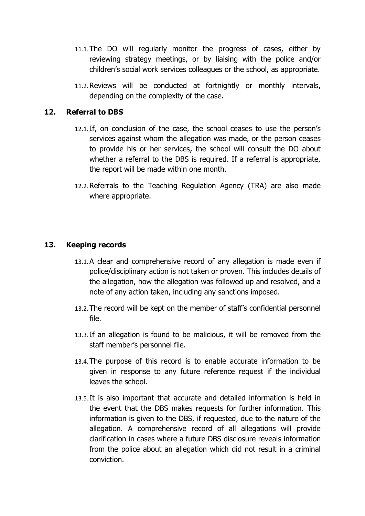- 11.1.The DO will regularly monitor the progress of cases, either by reviewing strategy meetings, or by liaising with the police and/or children's social work services colleagues or the school, as appropriate.
- 11.2.Reviews will be conducted at fortnightly or monthly intervals, depending on the complexity of the case.

## <span id="page-10-0"></span>**12. Referral to DBS**

- 12.1.If, on conclusion of the case, the school ceases to use the person's services against whom the allegation was made, or the person ceases to provide his or her services, the school will consult the DO about whether a referral to the DBS is required. If a referral is appropriate, the report will be made within one month.
- 12.2.Referrals to the Teaching Regulation Agency (TRA) are also made where appropriate.

#### <span id="page-10-1"></span>**13. Keeping records**

- 13.1.A clear and comprehensive record of any allegation is made even if police/disciplinary action is not taken or proven. This includes details of the allegation, how the allegation was followed up and resolved, and a note of any action taken, including any sanctions imposed.
- 13.2.The record will be kept on the member of staff's confidential personnel file.
- 13.3.If an allegation is found to be malicious, it will be removed from the staff member's personnel file.
- 13.4.The purpose of this record is to enable accurate information to be given in response to any future reference request if the individual leaves the school.
- 13.5.It is also important that accurate and detailed information is held in the event that the DBS makes requests for further information. This information is given to the DBS, if requested, due to the nature of the allegation. A comprehensive record of all allegations will provide clarification in cases where a future DBS disclosure reveals information from the police about an allegation which did not result in a criminal conviction.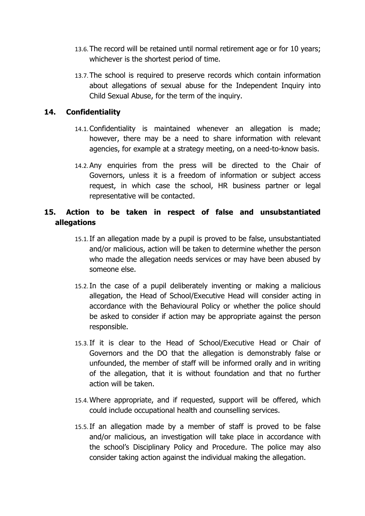- 13.6.The record will be retained until normal retirement age or for 10 years; whichever is the shortest period of time.
- 13.7.The school is required to preserve records which contain information about allegations of sexual abuse for the Independent Inquiry into Child Sexual Abuse, for the term of the inquiry.

## <span id="page-11-0"></span>**14. Confidentiality**

- 14.1.Confidentiality is maintained whenever an allegation is made; however, there may be a need to share information with relevant agencies, for example at a strategy meeting, on a need-to-know basis.
- 14.2.Any enquiries from the press will be directed to the Chair of Governors, unless it is a freedom of information or subject access request, in which case the school, HR business partner or legal representative will be contacted.

# <span id="page-11-1"></span>**15. Action to be taken in respect of false and unsubstantiated allegations**

- 15.1.If an allegation made by a pupil is proved to be false, unsubstantiated and/or malicious, action will be taken to determine whether the person who made the allegation needs services or may have been abused by someone else.
- 15.2.In the case of a pupil deliberately inventing or making a malicious allegation, the Head of School/Executive Head will consider acting in accordance with the Behavioural Policy or whether the police should be asked to consider if action may be appropriate against the person responsible.
- 15.3.If it is clear to the Head of School/Executive Head or Chair of Governors and the DO that the allegation is demonstrably false or unfounded, the member of staff will be informed orally and in writing of the allegation, that it is without foundation and that no further action will be taken.
- 15.4.Where appropriate, and if requested, support will be offered, which could include occupational health and counselling services.
- 15.5.If an allegation made by a member of staff is proved to be false and/or malicious, an investigation will take place in accordance with the school's Disciplinary Policy and Procedure. The police may also consider taking action against the individual making the allegation.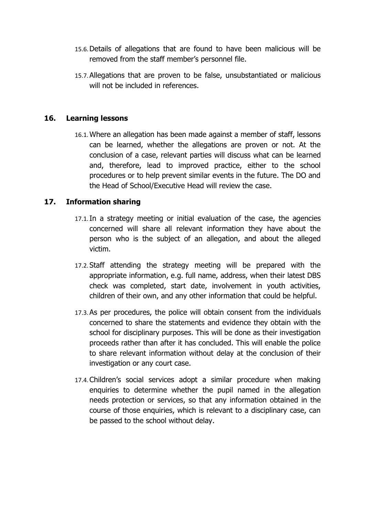- 15.6.Details of allegations that are found to have been malicious will be removed from the staff member's personnel file.
- 15.7.Allegations that are proven to be false, unsubstantiated or malicious will not be included in references.

#### <span id="page-12-0"></span>**16. Learning lessons**

16.1.Where an allegation has been made against a member of staff, lessons can be learned, whether the allegations are proven or not. At the conclusion of a case, relevant parties will discuss what can be learned and, therefore, lead to improved practice, either to the school procedures or to help prevent similar events in the future. The DO and the Head of School/Executive Head will review the case.

## <span id="page-12-1"></span>**17. Information sharing**

- 17.1.In a strategy meeting or initial evaluation of the case, the agencies concerned will share all relevant information they have about the person who is the subject of an allegation, and about the alleged victim.
- 17.2. Staff attending the strategy meeting will be prepared with the appropriate information, e.g. full name, address, when their latest DBS check was completed, start date, involvement in youth activities, children of their own, and any other information that could be helpful.
- 17.3.As per procedures, the police will obtain consent from the individuals concerned to share the statements and evidence they obtain with the school for disciplinary purposes. This will be done as their investigation proceeds rather than after it has concluded. This will enable the police to share relevant information without delay at the conclusion of their investigation or any court case.
- 17.4.Children's social services adopt a similar procedure when making enquiries to determine whether the pupil named in the allegation needs protection or services, so that any information obtained in the course of those enquiries, which is relevant to a disciplinary case, can be passed to the school without delay.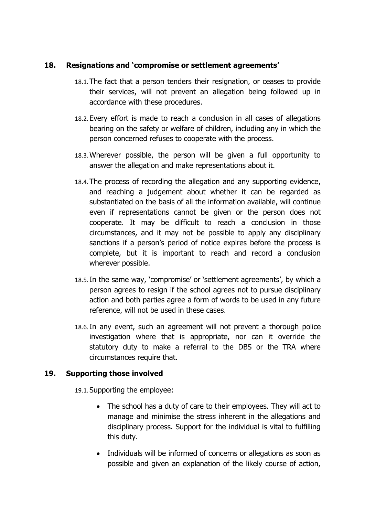#### <span id="page-13-0"></span>**18. Resignations and 'compromise or settlement agreements'**

- 18.1.The fact that a person tenders their resignation, or ceases to provide their services, will not prevent an allegation being followed up in accordance with these procedures.
- 18.2. Every effort is made to reach a conclusion in all cases of allegations bearing on the safety or welfare of children, including any in which the person concerned refuses to cooperate with the process.
- 18.3.Wherever possible, the person will be given a full opportunity to answer the allegation and make representations about it.
- 18.4.The process of recording the allegation and any supporting evidence, and reaching a judgement about whether it can be regarded as substantiated on the basis of all the information available, will continue even if representations cannot be given or the person does not cooperate. It may be difficult to reach a conclusion in those circumstances, and it may not be possible to apply any disciplinary sanctions if a person's period of notice expires before the process is complete, but it is important to reach and record a conclusion wherever possible.
- 18.5.In the same way, 'compromise' or 'settlement agreements', by which a person agrees to resign if the school agrees not to pursue disciplinary action and both parties agree a form of words to be used in any future reference, will not be used in these cases.
- 18.6.In any event, such an agreement will not prevent a thorough police investigation where that is appropriate, nor can it override the statutory duty to make a referral to the DBS or the TRA where circumstances require that.

## <span id="page-13-1"></span>**19. Supporting those involved**

19.1. Supporting the employee:

- The school has a duty of care to their employees. They will act to manage and minimise the stress inherent in the allegations and disciplinary process. Support for the individual is vital to fulfilling this duty.
- Individuals will be informed of concerns or allegations as soon as possible and given an explanation of the likely course of action,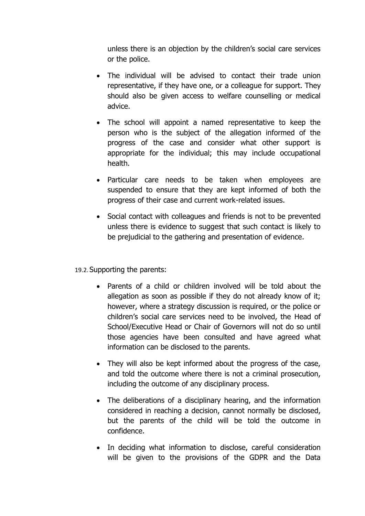unless there is an objection by the children's social care services or the police.

- The individual will be advised to contact their trade union representative, if they have one, or a colleague for support. They should also be given access to welfare counselling or medical advice.
- The school will appoint a named representative to keep the person who is the subject of the allegation informed of the progress of the case and consider what other support is appropriate for the individual; this may include occupational health.
- Particular care needs to be taken when employees are suspended to ensure that they are kept informed of both the progress of their case and current work-related issues.
- Social contact with colleagues and friends is not to be prevented unless there is evidence to suggest that such contact is likely to be prejudicial to the gathering and presentation of evidence.

## 19.2. Supporting the parents:

- Parents of a child or children involved will be told about the allegation as soon as possible if they do not already know of it; however, where a strategy discussion is required, or the police or children's social care services need to be involved, the Head of School/Executive Head or Chair of Governors will not do so until those agencies have been consulted and have agreed what information can be disclosed to the parents.
- They will also be kept informed about the progress of the case, and told the outcome where there is not a criminal prosecution, including the outcome of any disciplinary process.
- The deliberations of a disciplinary hearing, and the information considered in reaching a decision, cannot normally be disclosed, but the parents of the child will be told the outcome in confidence.
- In deciding what information to disclose, careful consideration will be given to the provisions of the GDPR and the Data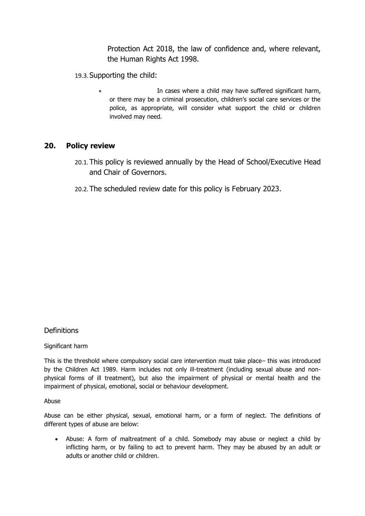Protection Act 2018, the law of confidence and, where relevant, the Human Rights Act 1998.

- 19.3. Supporting the child:
	- In cases where a child may have suffered significant harm, or there may be a criminal prosecution, children's social care services or the police, as appropriate, will consider what support the child or children involved may need.

#### <span id="page-15-0"></span>**20. Policy review**

- 20.1.This policy is reviewed annually by the Head of School/Executive Head and Chair of Governors.
- 20.2.The scheduled review date for this policy is February 2023.

## <span id="page-15-1"></span>**Definitions**

Significant harm

This is the threshold where compulsory social care intervention must take place– this was introduced by the Children Act 1989. Harm includes not only ill-treatment (including sexual abuse and nonphysical forms of ill treatment), but also the impairment of physical or mental health and the impairment of physical, emotional, social or behaviour development.

Abuse

Abuse can be either physical, sexual, emotional harm, or a form of neglect. The definitions of different types of abuse are below:

• Abuse: A form of maltreatment of a child. Somebody may abuse or neglect a child by inflicting harm, or by failing to act to prevent harm. They may be abused by an adult or adults or another child or children.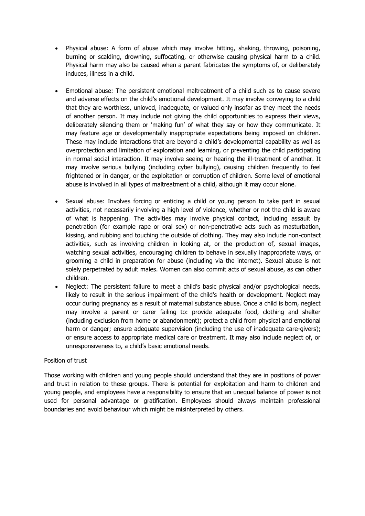- Physical abuse: A form of abuse which may involve hitting, shaking, throwing, poisoning, burning or scalding, drowning, suffocating, or otherwise causing physical harm to a child. Physical harm may also be caused when a parent fabricates the symptoms of, or deliberately induces, illness in a child.
- Emotional abuse: The persistent emotional maltreatment of a child such as to cause severe and adverse effects on the child's emotional development. It may involve conveying to a child that they are worthless, unloved, inadequate, or valued only insofar as they meet the needs of another person. It may include not giving the child opportunities to express their views, deliberately silencing them or 'making fun' of what they say or how they communicate. It may feature age or developmentally inappropriate expectations being imposed on children. These may include interactions that are beyond a child's developmental capability as well as overprotection and limitation of exploration and learning, or preventing the child participating in normal social interaction. It may involve seeing or hearing the ill-treatment of another. It may involve serious bullying (including cyber bullying), causing children frequently to feel frightened or in danger, or the exploitation or corruption of children. Some level of emotional abuse is involved in all types of maltreatment of a child, although it may occur alone.
- Sexual abuse: Involves forcing or enticing a child or young person to take part in sexual activities, not necessarily involving a high level of violence, whether or not the child is aware of what is happening. The activities may involve physical contact, including assault by penetration (for example rape or oral sex) or non-penetrative acts such as masturbation, kissing, and rubbing and touching the outside of clothing. They may also include non-contact activities, such as involving children in looking at, or the production of, sexual images, watching sexual activities, encouraging children to behave in sexually inappropriate ways, or grooming a child in preparation for abuse (including via the internet). Sexual abuse is not solely perpetrated by adult males. Women can also commit acts of sexual abuse, as can other children.
- Neglect: The persistent failure to meet a child's basic physical and/or psychological needs, likely to result in the serious impairment of the child's health or development. Neglect may occur during pregnancy as a result of maternal substance abuse. Once a child is born, neglect may involve a parent or carer failing to: provide adequate food, clothing and shelter (including exclusion from home or abandonment); protect a child from physical and emotional harm or danger; ensure adequate supervision (including the use of inadequate care-givers); or ensure access to appropriate medical care or treatment. It may also include neglect of, or unresponsiveness to, a child's basic emotional needs.

#### Position of trust

Those working with children and young people should understand that they are in positions of power and trust in relation to these groups. There is potential for exploitation and harm to children and young people, and employees have a responsibility to ensure that an unequal balance of power is not used for personal advantage or gratification. Employees should always maintain professional boundaries and avoid behaviour which might be misinterpreted by others.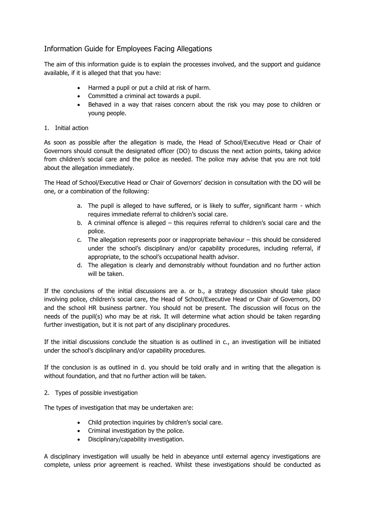# <span id="page-17-0"></span>Information Guide for Employees Facing Allegations

The aim of this information guide is to explain the processes involved, and the support and guidance available, if it is alleged that that you have:

- Harmed a pupil or put a child at risk of harm.
- Committed a criminal act towards a pupil.
- Behaved in a way that raises concern about the risk you may pose to children or young people.

#### 1. Initial action

As soon as possible after the allegation is made, the Head of School/Executive Head or Chair of Governors should consult the designated officer (DO) to discuss the next action points, taking advice from children's social care and the police as needed. The police may advise that you are not told about the allegation immediately.

The Head of School/Executive Head or Chair of Governors' decision in consultation with the DO will be one, or a combination of the following:

- a. The pupil is alleged to have suffered, or is likely to suffer, significant harm which requires immediate referral to children's social care.
- b. A criminal offence is alleged this requires referral to children's social care and the police.
- c. The allegation represents poor or inappropriate behaviour this should be considered under the school's disciplinary and/or capability procedures, including referral, if appropriate, to the school's occupational health advisor.
- d. The allegation is clearly and demonstrably without foundation and no further action will be taken.

If the conclusions of the initial discussions are a. or b., a strategy discussion should take place involving police, children's social care, the Head of School/Executive Head or Chair of Governors, DO and the school HR business partner. You should not be present. The discussion will focus on the needs of the pupil(s) who may be at risk. It will determine what action should be taken regarding further investigation, but it is not part of any disciplinary procedures.

If the initial discussions conclude the situation is as outlined in c., an investigation will be initiated under the school's disciplinary and/or capability procedures.

If the conclusion is as outlined in d. you should be told orally and in writing that the allegation is without foundation, and that no further action will be taken.

2. Types of possible investigation

The types of investigation that may be undertaken are:

- Child protection inquiries by children's social care.
- Criminal investigation by the police.
- Disciplinary/capability investigation.

A disciplinary investigation will usually be held in abeyance until external agency investigations are complete, unless prior agreement is reached. Whilst these investigations should be conducted as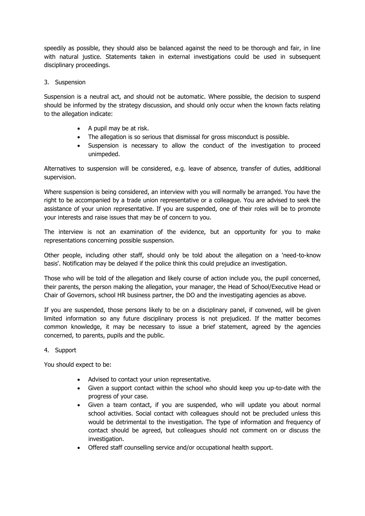speedily as possible, they should also be balanced against the need to be thorough and fair, in line with natural justice. Statements taken in external investigations could be used in subsequent disciplinary proceedings.

#### 3. Suspension

Suspension is a neutral act, and should not be automatic. Where possible, the decision to suspend should be informed by the strategy discussion, and should only occur when the known facts relating to the allegation indicate:

- A pupil may be at risk.
- The allegation is so serious that dismissal for gross misconduct is possible.
- Suspension is necessary to allow the conduct of the investigation to proceed unimpeded.

Alternatives to suspension will be considered, e.g. leave of absence, transfer of duties, additional supervision.

Where suspension is being considered, an interview with you will normally be arranged. You have the right to be accompanied by a trade union representative or a colleague. You are advised to seek the assistance of your union representative. If you are suspended, one of their roles will be to promote your interests and raise issues that may be of concern to you.

The interview is not an examination of the evidence, but an opportunity for you to make representations concerning possible suspension.

Other people, including other staff, should only be told about the allegation on a 'need-to-know basis'. Notification may be delayed if the police think this could prejudice an investigation.

Those who will be told of the allegation and likely course of action include you, the pupil concerned, their parents, the person making the allegation, your manager, the Head of School/Executive Head or Chair of Governors, school HR business partner, the DO and the investigating agencies as above.

If you are suspended, those persons likely to be on a disciplinary panel, if convened, will be given limited information so any future disciplinary process is not prejudiced. If the matter becomes common knowledge, it may be necessary to issue a brief statement, agreed by the agencies concerned, to parents, pupils and the public.

#### 4. Support

You should expect to be:

- Advised to contact your union representative.
- Given a support contact within the school who should keep you up-to-date with the progress of your case.
- Given a team contact, if you are suspended, who will update you about normal school activities. Social contact with colleagues should not be precluded unless this would be detrimental to the investigation. The type of information and frequency of contact should be agreed, but colleagues should not comment on or discuss the investigation.
- Offered staff counselling service and/or occupational health support.